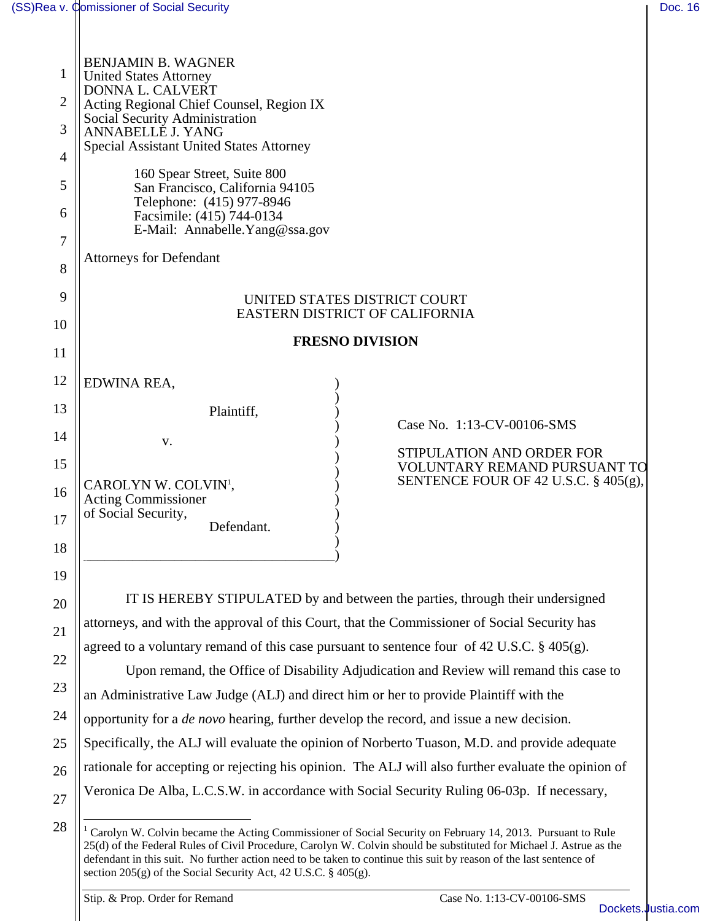| 1              | <b>BENJAMIN B. WAGNER</b><br><b>United States Attorney</b>                                                |  |  |
|----------------|-----------------------------------------------------------------------------------------------------------|--|--|
| $\overline{2}$ | DONNA L. CALVERT<br>Acting Regional Chief Counsel, Region IX                                              |  |  |
| 3              | Social Security Administration<br>ANNABELLE J. YANG                                                       |  |  |
| 4              | <b>Special Assistant United States Attorney</b>                                                           |  |  |
| 5              | 160 Spear Street, Suite 800<br>San Francisco, California 94105                                            |  |  |
| 6              | Telephone: (415) 977-8946<br>Facsimile: (415) 744-0134<br>E-Mail: Annabelle. Yang@ssa.gov                 |  |  |
| 7              | <b>Attorneys for Defendant</b>                                                                            |  |  |
| 8              |                                                                                                           |  |  |
| 9              | UNITED STATES DISTRICT COURT<br>EASTERN DISTRICT OF CALIFORNIA                                            |  |  |
| 10             | <b>FRESNO DIVISION</b>                                                                                    |  |  |
| 11             |                                                                                                           |  |  |
| 12             | EDWINA REA,                                                                                               |  |  |
| 13             | Plaintiff,                                                                                                |  |  |
| 14             | Case No. 1:13-CV-00106-SMS<br>V.                                                                          |  |  |
| 15             | STIPULATION AND ORDER FOR<br><b>VOLUNTARY REMAND PURSUANT TO</b>                                          |  |  |
| 16             | SENTENCE FOUR OF 42 U.S.C. $\S$ 405(g),<br>CAROLYN W. COLVIN <sup>1</sup> ,<br><b>Acting Commissioner</b> |  |  |
| 17             | of Social Security,<br>Defendant.                                                                         |  |  |
| 18             |                                                                                                           |  |  |
| 19             |                                                                                                           |  |  |
| 20             | IT IS HEREBY STIPULATED by and between the parties, through their undersigned                             |  |  |
| 21             | attorneys, and with the approval of this Court, that the Commissioner of Social Security has              |  |  |
| 22             | agreed to a voluntary remand of this case pursuant to sentence four of 42 U.S.C. § 405(g).                |  |  |
|                | Upon remand, the Office of Disability Adjudication and Review will remand this case to                    |  |  |
| 23             | an Administrative Law Judge (ALJ) and direct him or her to provide Plaintiff with the                     |  |  |
| 24             | opportunity for a <i>de novo</i> hearing, further develop the record, and issue a new decision.           |  |  |
| 25             | Specifically, the ALJ will evaluate the opinion of Norberto Tuason, M.D. and provide adequate             |  |  |
| 26             | rationale for accepting or rejecting his opinion. The ALJ will also further evaluate the opinion of       |  |  |
| 27             | Veronica De Alba, L.C.S.W. in accordance with Social Security Ruling 06-03p. If necessary,                |  |  |
| 28             | Carolyn W. Colvin became the Acting Commissioner of Social Security on February 14, 2013. Durangt to Rule |  |  |

Stip. & Prop. Order for Remand Case No. 1:13-CV-00106-SMS

<sup>&</sup>lt;sup>1</sup> Carolyn W. Colvin became the Acting Commissioner of Social Security on February 14, 2013. Pursuant to Rule 25(d) of the Federal Rules of Civil Procedure, Carolyn W. Colvin should be substituted for Michael J. Astrue as the defendant in this suit. No further action need to be taken to continue this suit by reason of the last sentence of section 205(g) of the Social Security Act, 42 U.S.C. § 405(g).